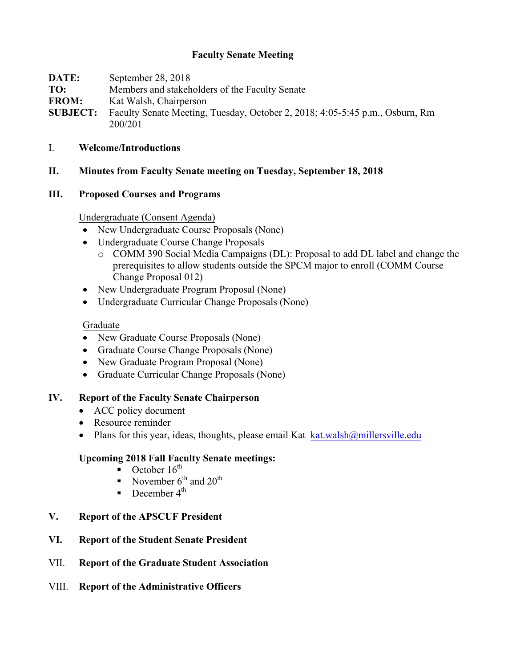# **Faculty Senate Meeting**

| DATE:           | September 28, 2018                                                           |
|-----------------|------------------------------------------------------------------------------|
| TO:             | Members and stakeholders of the Faculty Senate                               |
| <b>FROM:</b>    | Kat Walsh, Chairperson                                                       |
| <b>SUBJECT:</b> | Faculty Senate Meeting, Tuesday, October 2, 2018; 4:05-5:45 p.m., Osburn, Rm |
|                 | 200/201                                                                      |

- I. **Welcome/Introductions**
- **II. Minutes from Faculty Senate meeting on Tuesday, September 18, 2018**

### **III. Proposed Courses and Programs**

Undergraduate (Consent Agenda)

- New Undergraduate Course Proposals (None)
- Undergraduate Course Change Proposals
	- o COMM 390 Social Media Campaigns (DL): Proposal to add DL label and change the prerequisites to allow students outside the SPCM major to enroll (COMM Course Change Proposal 012)
- New Undergraduate Program Proposal (None)
- Undergraduate Curricular Change Proposals (None)

### Graduate

- New Graduate Course Proposals (None)
- Graduate Course Change Proposals (None)
- New Graduate Program Proposal (None)
- Graduate Curricular Change Proposals (None)

### **IV. Report of the Faculty Senate Chairperson**

- ACC policy document
- Resource reminder
- Plans for this year, ideas, thoughts, please email Kat  $k$ at.walsh $@$ millersville.edu

### **Upcoming 2018 Fall Faculty Senate meetings:**

- October  $16^{th}$
- November  $6^{th}$  and  $20^{th}$
- December  $4^{\text{th}}$

# **V. Report of the APSCUF President**

- **VI. Report of the Student Senate President**
- VII. **Report of the Graduate Student Association**
- VIII. **Report of the Administrative Officers**